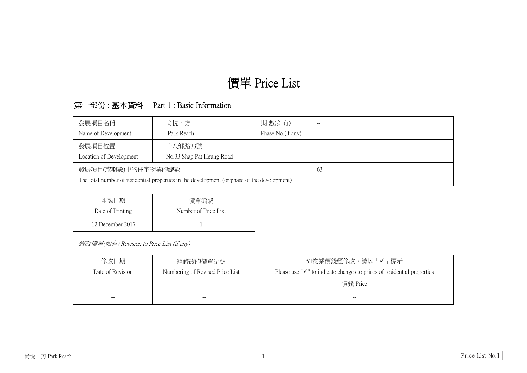## 第一部份 : 基本資料 Part 1 : Basic Information

| 發展項目名稱                                                                                      | 尚悦・方                      |  |  |  |  |  |  |  |  |
|---------------------------------------------------------------------------------------------|---------------------------|--|--|--|--|--|--|--|--|
| Name of Development                                                                         | Park Reach                |  |  |  |  |  |  |  |  |
| 發展項目位置                                                                                      |                           |  |  |  |  |  |  |  |  |
| Location of Development                                                                     | No.33 Shap Pat Heung Road |  |  |  |  |  |  |  |  |
| 發展項目(或期數)中的住宅物業的總數                                                                          | 63                        |  |  |  |  |  |  |  |  |
| The total number of residential properties in the development (or phase of the development) |                           |  |  |  |  |  |  |  |  |
|                                                                                             |                           |  |  |  |  |  |  |  |  |

修改價單(如有) Revision to Price List (if any)

| 印製日期             | 價單編號                 |  |  |  |  |  |
|------------------|----------------------|--|--|--|--|--|
| Date of Printing | Number of Price List |  |  |  |  |  |
| 12 December 2017 |                      |  |  |  |  |  |

| 修改日期             | 經修改的價單編號                        | 如物業價錢經修改,請以「✔」標示                                                      |
|------------------|---------------------------------|-----------------------------------------------------------------------|
| Date of Revision | Numbering of Revised Price List | Please use " $\checkmark$ " to indicate changes to prices of resident |
|                  |                                 | 價錢 Price                                                              |
| --               |                                 |                                                                       |



ntial properties

Price List No. 1

# 價單 Price List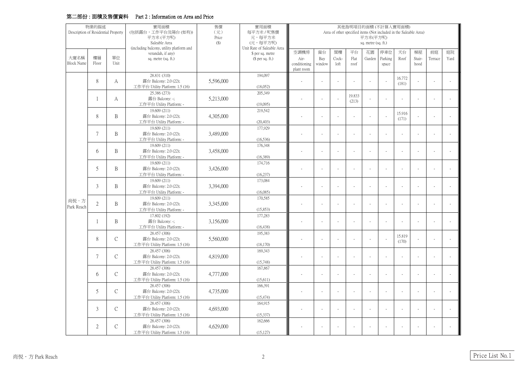### 第二部份 : 面積及售價資料 Part 2 : Information on Area and Price

| 物業的描述                               |                |                             | 實用面積                                              | 其他指明項目的面積(不計算入實用面積) |                                      |                                                                   |          |       |                 |        |                |                 |                |         |      |  |
|-------------------------------------|----------------|-----------------------------|---------------------------------------------------|---------------------|--------------------------------------|-------------------------------------------------------------------|----------|-------|-----------------|--------|----------------|-----------------|----------------|---------|------|--|
| Description of Residential Property |                |                             | (包括露台,工作平台及陽台(如有))                                | $(\vec{\pi})$       | 每平方米 / 呎售價                           | Area of other specified items (Not included in the Saleable Area) |          |       |                 |        |                |                 |                |         |      |  |
|                                     |                |                             | 平方米(平方呎)                                          | Price               | 元,每平方米                               |                                                                   | 平方米(平方呎) |       |                 |        |                |                 |                |         |      |  |
|                                     |                |                             | Saleable Area                                     | $(\$)$              | (元,每平方呎)                             | sq. metre (sq. ft.)                                               |          |       |                 |        |                |                 |                |         |      |  |
|                                     |                |                             | (including balcony, utility platform and          |                     | Unit Rate of Saleable Area           | 空調機房                                                              | 窗台       | 閣樓    | 平台              | 花園     | 停車位            | 天台              | 梯屋             | 前庭      | 庭院   |  |
| 大廈名稱                                | 樓層             | 單位                          | verandah, if any)<br>sq. metre (sq. ft.)          |                     | \$ per sq. metre<br>$$$ per sq. ft.) | Air-                                                              | Bay      | Cock- | Flat            | Garden | Parking        | Roof            | Stair-         | Terrace | Yard |  |
| <b>Block Name</b>                   | Floor          | Unit                        |                                                   |                     |                                      | conditioning                                                      | window   | loft  | roof            |        | space          |                 | hood           |         |      |  |
|                                     |                |                             |                                                   |                     |                                      | plant room                                                        |          |       |                 |        |                |                 |                |         |      |  |
|                                     |                |                             | 28.831 (310)                                      |                     | 194,097                              |                                                                   |          |       |                 |        |                |                 |                |         |      |  |
|                                     | 8              | A                           | 露台 Balcony: 2.0 (22);                             | 5,596,000           |                                      |                                                                   |          |       |                 |        |                | 16.772          |                |         |      |  |
|                                     |                |                             | 工作平台 Utility Platform: 1.5 (16)                   |                     | (18,052)                             |                                                                   |          |       |                 |        |                | (181)           |                |         |      |  |
|                                     |                |                             | 25.386 (273)                                      |                     | 205,349                              |                                                                   |          |       |                 |        |                |                 |                |         |      |  |
|                                     |                | A                           | 露台 Balcony: -;                                    | 5,213,000           |                                      |                                                                   |          |       | 19.833<br>(213) |        |                |                 |                |         |      |  |
|                                     |                |                             | 工作平台 Utility Platform: -                          |                     | (19,095)                             |                                                                   |          |       |                 |        |                |                 |                |         |      |  |
|                                     |                |                             | 19.609 (211)                                      |                     | 219,542                              |                                                                   |          |       |                 |        |                |                 |                |         |      |  |
|                                     | $8\,$          | B                           | 露台 Balcony: 2.0 (22);                             | 4,305,000           |                                      |                                                                   |          |       |                 |        | $\sim$         | 15.916<br>(171) | $\blacksquare$ |         |      |  |
|                                     |                |                             | 工作平台 Utility Platform: -                          |                     | (20, 403)                            |                                                                   |          |       |                 |        |                |                 |                |         |      |  |
|                                     |                |                             | 19.609 (211)                                      |                     | 177,929                              |                                                                   |          |       |                 |        |                |                 |                |         |      |  |
|                                     | $\overline{7}$ | $\mathbf B$                 | 露台 Balcony: 2.0 (22);                             | 3,489,000           |                                      |                                                                   |          |       |                 |        |                |                 |                |         |      |  |
|                                     |                |                             | 工作平台 Utility Platform: -                          |                     | (16,536)                             |                                                                   |          |       |                 |        |                |                 |                |         |      |  |
|                                     |                |                             | 19.609 (211)                                      |                     | 176,348                              |                                                                   |          |       |                 |        |                |                 |                |         |      |  |
|                                     | 6              | B                           | 露台 Balcony: 2.0 (22);                             | 3,458,000           |                                      |                                                                   |          |       |                 |        |                |                 |                |         |      |  |
|                                     |                |                             | 工作平台 Utility Platform: -                          |                     | (16,389)                             |                                                                   |          |       |                 |        |                |                 |                |         |      |  |
|                                     | 5              | B                           | 19.609 (211)                                      | 3,426,000           | 174,716                              |                                                                   |          |       |                 |        |                |                 |                |         |      |  |
|                                     |                |                             | 露台 Balcony: 2.0 (22);                             |                     |                                      |                                                                   |          |       |                 |        |                |                 |                |         |      |  |
|                                     |                |                             | 工作平台 Utility Platform: -                          |                     | (16,237)                             |                                                                   |          |       |                 |        |                |                 |                |         |      |  |
|                                     | $\mathfrak{Z}$ | B                           | 19.609 (211)                                      |                     | 173,084                              |                                                                   |          |       |                 |        |                |                 |                |         |      |  |
|                                     |                |                             | 露台 Balcony: 2.0 (22);                             | 3,394,000           |                                      |                                                                   |          |       |                 |        |                |                 |                |         |      |  |
|                                     |                |                             | 工作平台 Utility Platform: -                          |                     | (16,085)                             |                                                                   |          |       |                 |        |                |                 |                |         |      |  |
| 尚悦・方                                | $\mathbf{2}$   | $\mathbf B$                 | 19.609 (211)                                      | 3,345,000           | 170,585                              |                                                                   |          |       |                 |        |                |                 |                |         |      |  |
| Park Reach                          |                |                             | 露台 Balcony: 2.0 (22);<br>工作平台 Utility Platform: - |                     | (15,853)                             |                                                                   |          |       |                 |        |                |                 |                |         |      |  |
|                                     |                |                             | 17.802 (192)                                      |                     | 177,283                              |                                                                   |          |       |                 |        |                |                 |                |         |      |  |
|                                     | $\mathbf{1}$   | B                           | 露台 Balcony: -;                                    | 3,156,000           |                                      |                                                                   |          |       |                 |        |                |                 |                |         |      |  |
|                                     |                |                             | 工作平台 Utility Platform: -                          |                     | (16, 438)                            |                                                                   |          |       |                 |        |                |                 |                |         |      |  |
|                                     |                |                             | 28.457 (306)                                      |                     | 195,383                              |                                                                   |          |       |                 |        |                |                 |                |         |      |  |
|                                     | 8              | $\mathcal{C}$               | 露台 Balcony: 2.0 (22);                             | 5,560,000           |                                      |                                                                   |          |       |                 |        | $\mathbf{r}$   | 15.819          |                |         |      |  |
|                                     |                |                             | 工作平台 Utility Platform: 1.5 (16)                   |                     | (18, 170)                            |                                                                   |          |       |                 |        |                | (170)           |                |         |      |  |
|                                     |                |                             | 28.457 (306)                                      |                     | 169,343                              |                                                                   |          |       |                 |        |                |                 |                |         |      |  |
|                                     | 7              | $\mathcal{C}$               | 露台 Balcony: 2.0 (22);                             | 4,819,000           |                                      |                                                                   |          |       |                 |        |                |                 |                |         |      |  |
|                                     |                |                             | 工作平台 Utility Platform: 1.5 (16)                   |                     | (15,748)                             |                                                                   |          |       |                 |        |                |                 |                |         |      |  |
|                                     |                |                             | 28.457 (306)                                      |                     | 167,867                              |                                                                   |          |       |                 |        |                |                 |                |         |      |  |
|                                     | 6              | $\mathcal{C}_{\mathcal{C}}$ | 露台 Balcony: 2.0 (22);                             | 4,777,000           |                                      |                                                                   |          |       |                 |        |                |                 |                |         |      |  |
|                                     |                |                             | 工作平台 Utility Platform: 1.5 (16)                   |                     | (15,611)                             |                                                                   |          |       |                 |        |                |                 |                |         |      |  |
|                                     |                |                             | 28.457 (306)                                      |                     | 166,391                              |                                                                   |          |       |                 |        |                |                 |                |         |      |  |
|                                     | 5              | $\mathcal{C}$               | 露台 Balcony: 2.0 (22);                             | 4,735,000           |                                      |                                                                   |          |       |                 |        | $\blacksquare$ |                 |                |         |      |  |
|                                     |                |                             | 工作平台 Utility Platform: 1.5 (16)                   |                     | (15, 474)                            |                                                                   |          |       |                 |        |                |                 |                |         |      |  |
|                                     |                |                             | 28.457 (306)                                      |                     | 164,915                              |                                                                   |          |       |                 |        |                |                 |                |         |      |  |
|                                     | $\mathfrak{Z}$ | $\mathcal{C}$               | 露台 Balcony: 2.0 (22);                             | 4,693,000           |                                      |                                                                   |          |       |                 |        |                |                 |                |         |      |  |
|                                     |                |                             | 工作平台 Utility Platform: 1.5 (16)                   |                     | (15,337)                             |                                                                   |          |       |                 |        |                |                 |                |         |      |  |
|                                     |                |                             | 28.457 (306)                                      |                     | 162,666                              |                                                                   |          |       |                 |        |                |                 |                |         |      |  |
|                                     | $\overline{2}$ | $\mathcal{C}$               | 露台 Balcony: 2.0 (22);                             | 4,629,000           |                                      |                                                                   |          |       |                 |        |                |                 |                |         |      |  |
|                                     |                |                             | 工作平台 Utility Platform: 1.5 (16)                   |                     | (15, 127)                            |                                                                   |          |       |                 |        |                |                 |                |         |      |  |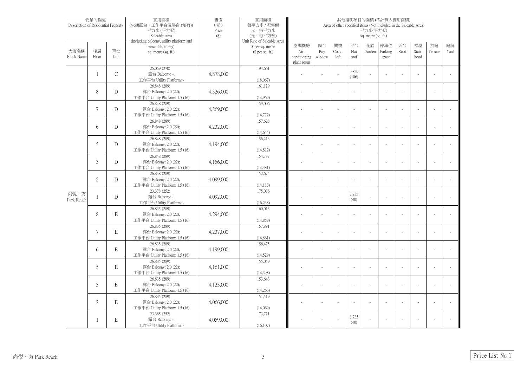| 物業的描述<br>Description of Residential Property |                |               | 實用面積<br>(包括露台,工作平台及陽台(如有))<br>平方米(平方呎)<br>Saleable Area<br>(including balcony, utility platform and | 售價<br>$(\vec{\pi})$<br>Price<br>$(\$)$ | 實用面積<br>每平方米 / 呎售價<br>元,每平方米<br>(元,每平方呎)<br>Unit Rate of Saleable Area | 其他指明項目的面積(不計算入實用面積)<br>Area of other specified items (Not included in the Saleable Area)<br>平方米(平方呎)<br>sq. metre (sq. ft.) |                     |                     |                    |              |                         |            |                      |               |            |
|----------------------------------------------|----------------|---------------|-----------------------------------------------------------------------------------------------------|----------------------------------------|------------------------------------------------------------------------|-----------------------------------------------------------------------------------------------------------------------------|---------------------|---------------------|--------------------|--------------|-------------------------|------------|----------------------|---------------|------------|
| 大廈名稱<br><b>Block Name</b>                    | 樓層<br>Floor    | 單位<br>Unit    | verandah, if any)<br>sq. metre (sq. ft.)                                                            |                                        | \$ per sq. metre<br>$$$ per sq. ft.)                                   | 空調機房<br>Air-<br>conditioning<br>plant room                                                                                  | 窗台<br>Bay<br>window | 閣樓<br>Cock-<br>loft | 平台<br>Flat<br>roof | 花園<br>Garden | 停車位<br>Parking<br>space | 天台<br>Roof | 梯屋<br>Stair-<br>hood | 前庭<br>Terrace | 庭院<br>Yard |
|                                              |                | $\mathcal{C}$ | 25.059 (270)<br>露台 Balcony: -;<br>工作平台 Utility Platform: -                                          | 4,878,000                              | 194,661<br>(18,067)                                                    |                                                                                                                             |                     |                     | 9.829<br>(106)     |              |                         |            |                      |               |            |
|                                              | 8              | D             | 26.848 (289)<br>露台 Balcony: 2.0 (22);<br>工作平台 Utility Platform: 1.5 (16)                            | 4,326,000                              | 161,129<br>(14,969)                                                    |                                                                                                                             |                     |                     |                    |              |                         |            |                      |               |            |
|                                              | 7              | D             | 26.848 (289)<br>露台 Balcony: 2.0 (22);<br>工作平台 Utility Platform: 1.5 (16)                            | 4,269,000                              | 159,006<br>(14,772)                                                    |                                                                                                                             |                     |                     |                    |              |                         |            |                      |               |            |
|                                              | 6              | D             | 26.848 (289)<br>露台 Balcony: 2.0 (22);<br>工作平台 Utility Platform: 1.5 (16)                            | 4,232,000                              | 157,628<br>(14, 644)                                                   |                                                                                                                             |                     |                     |                    |              |                         |            |                      |               |            |
|                                              | 5              | D             | 26.848 (289)<br>露台 Balcony: 2.0 (22);<br>工作平台 Utility Platform: 1.5 (16)                            | 4,194,000                              | 156,213<br>(14,512)                                                    |                                                                                                                             |                     |                     |                    |              |                         |            |                      |               |            |
|                                              | $\mathfrak{Z}$ | D             | 26.848 (289)<br>露台 Balcony: 2.0 (22);<br>工作平台 Utility Platform: 1.5 (16)                            | 4,156,000                              | 154,797<br>(14, 381)                                                   |                                                                                                                             |                     |                     |                    |              |                         |            |                      |               |            |
|                                              | $\overline{2}$ | D             | 26.848 (289)<br>露台 Balcony: 2.0 (22);<br>工作平台 Utility Platform: 1.5 (16)                            | 4,099,000                              | 152,674<br>(14, 183)                                                   |                                                                                                                             |                     |                     |                    |              |                         |            |                      |               |            |
| 尚悦・方<br>Park Reach                           |                | D             | 23.378 (252)<br>露台 Balcony: -;<br>工作平台 Utility Platform: -                                          | 4,092,000                              | 175,036<br>(16, 238)                                                   |                                                                                                                             |                     |                     | 3.735<br>(40)      |              |                         |            |                      |               |            |
|                                              | 8              | $\mathbf E$   | 26.835 (289)<br>露台 Balcony: 2.0 (22);<br>工作平台 Utility Platform: 1.5 (16)                            | 4,294,000                              | 160,015<br>(14, 858)                                                   |                                                                                                                             |                     |                     |                    |              |                         |            |                      |               |            |
|                                              | 7              | $\mathbf E$   | 26.835 (289)<br>露台 Balcony: 2.0 (22);<br>工作平台 Utility Platform: 1.5 (16)                            | 4,237,000                              | 157,891<br>(14,661)                                                    |                                                                                                                             |                     |                     |                    |              |                         |            |                      |               |            |
|                                              | 6              | $\mathbf E$   | 26.835 (289)<br>露台 Balcony: 2.0 (22);<br>工作平台 Utility Platform: 1.5 (16)                            | 4,199,000                              | 156,475<br>(14,529)                                                    |                                                                                                                             |                     |                     |                    |              |                         |            |                      |               |            |
|                                              | 5              | $\mathbf E$   | 26.835 (289)<br>露台 Balcony: 2.0 (22);<br>工作平台 Utility Platform: 1.5 (16)                            | 4,161,000                              | 155,059<br>(14,398)                                                    |                                                                                                                             |                     |                     |                    |              |                         |            |                      |               |            |
|                                              | $\mathfrak{Z}$ | $\mathbf E$   | 26.835 (289)<br>露台 Balcony: 2.0 (22);<br>工作平台 Utility Platform: 1.5 (16)                            | 4,123,000                              | 153,643<br>(14,266)                                                    |                                                                                                                             |                     |                     |                    |              |                         |            |                      |               |            |
|                                              | $\overline{2}$ | $\mathbf E$   | 26.835 (289)<br>露台 Balcony: 2.0 (22);<br>工作平台 Utility Platform: 1.5 (16)                            | 4,066,000                              | 151,519<br>(14,069)                                                    |                                                                                                                             |                     |                     |                    |              |                         |            |                      |               |            |
|                                              |                | $\mathbf E$   | 23.365 (252)<br>露台 Balcony: -;<br>工作平台 Utility Platform: -                                          | 4,059,000                              | 173,721<br>(16, 107)                                                   |                                                                                                                             |                     |                     | 3.735<br>(40)      |              |                         |            |                      |               |            |

Price List No. 1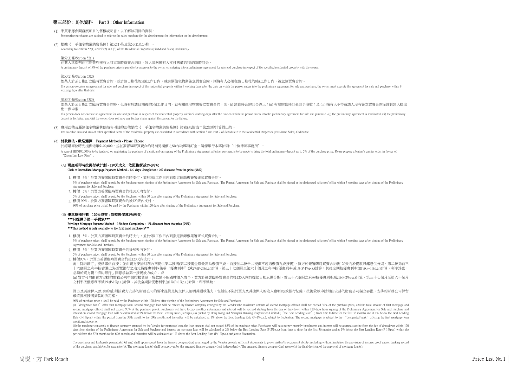#### 第三部份 : 其他資料 Part 3 : Other Information

#### 第52(1)條/Section 52(1)

在某人就指明住宅物業與擁有人訂立臨時買賣合約時,該人須向擁有人支付售價的5%的臨時訂金。

A preliminary deposit of 5% of the purchase price is payable by a person to the owner on entering into a preliminary agreement for sale and purchase in respect of the specified residential property with the owner.

#### 第53(2)條/Section 53(2)

#### 第53(3)條/Section 53(3)

如某人於某日期訂立臨時買賣合約時,但沒有於該日期後的5個工作日內,就有關住宅物業簽立買賣合約,則 - (i) 該臨時合約即告終止;(ii) 有關的臨時訂金即予沒收;及 (iii) 擁有人不得就該人沒有簽立買賣合約而針對該人提出 進一步申索

#### \*\*\*只提供予第一手買家\*\*\* Privilege Mortgage Payment Method - 120 days Completion : 1% discount from the price (99%) \*\*\*This method is only available to the first hand purchasers\*\*\*

1. 樓價 5%:於買方簽署臨時買賣合約時支付,並於5個工作日內到指定律師樓簽署正式買賣合約。

5% of purchase price : shall be paid by the Purchaser upon signing of the Preliminary Agreement for Sale and Purchase. The Formal Agreement for Sale and Purchase shall be signed at the designated solicitors' office within Agreement for Sale and Purchase.

2. 樓價 5%:於買方簽署臨時買賣合約後30天內支付。

3. 樓價90%:於買方簽署臨時買賣合約後120天內支付;

(i)「特約銀行」提供即供首按;並由賣方安排財務公司提供第二按揭(第二按揭金額最高為樓價三成,首按加二按合共提供不超過樓價九成按揭),買方於簽署臨時買賣合約後120天內於提款日起息供分期,第二按揭首三 十六個月之利率按香港上海匯豐銀行之港元最優惠利率(後稱"優惠利率")減2%(P-2%p.a.)計算,第三十七個月至第六十個月之利率按優惠利率減1%(P-1%p.a.)計算;其後全期按優惠利率加1%(P+1%p.a.)計算,利率浮動, 必須於買方獲「特約銀行」同意承做第一按揭後方成立;或

(ii) 買方可向由賣方安排的財務公司申請按揭貸款,貸款額不超過樓價八成半,買方於簽署臨時買賣合約後120天內於提款日起息供分期,首三十六個月之利率按優惠利率減2%(P-2%p.a.)計算,第三十七個月至第六十個月 之利率按優惠利率減1%(P-1%p.a.)計算;其後全期按優惠利率加1%(P+1%p.a.)計算,利率浮動。

#### 買方及其擔保人(如有的話)須按賣方安排的財務公司的要求提供足夠文件以証明其還款能力,包括但不限於買方及其擔保人的收入證明及/或銀行紀錄。按揭貸款申請須由安排的財務公司獨立審批。安排的財務公司保留 最終批核按揭貸款的決定權。

5% of purchase price : shall be paid by the Purchaser within 30 days after signing of the Preliminary Agreement for Sale and Purchase.

(i) "designated bank" offer first mortgage loan, second mortgage loan will be offered by finance company arranged by the Vendor (the maximum amount of second mortgage offered shall not exceed 30% of the purchase price, and second mortgage offered shall not exceed 90% of the purchase price). Purchasers will have to pay monthly instalments and interest will be accrued starting from the day of drawdown within 120 days from signing of the Prelim interest on second mortgage loan will be calculated at 2% below the Best Lending Rate (P-2%p.a.) as quoted by Hong Kong and Shanghai Banking Corporation Limited ("the Best Lending Rate") from time to time for the first 36 Rate (P-1%p.a.) within the period from the 37th month to the 60th month; and thereafter will be calculated at 1% above the Best Lending Rate (P+1%p.a.), subject to fluctuation. The second mortgage is subject to the "design mentioned above; or

90% of purchase price : shall be paid by the Purchaser within 120 days after signing of the Preliminary Agreement for Sale and Purchase;

(ii) the purchaser can apply to finance company arranged by the Vendor for mortgage loan, the loan amount shall not exceed 85% of the purchaser will have to pay monthly instalments and interest will be accrued starting fro days from signing of the Preliminary Agreement for Sale and Purchase and interest on mortgage loan will be calculated at 2% below the Best Lending Rate (P-2%p.a.) from time to time for the first 36 months and at 1% below t period from the 37th month to the 60th month; and thereafter will be calculated at 1% above the Best Lending Rate (P+1%p.a.), subject to fluctuation.

The purchaser and his/her/its guarantor(s) (if any) shall upon request from the finance company(ies) as arranged by the Vendor provide sufficient documents to prove his/her/its repayment ability, including without limitati of the purchaser and his/her/its guarantor(s). The mortgage loan(s) shall be approved by the arranged finance company(ies) independently. The arranged finance company(ies) reserve(s) the final decision of the approval of m

Price List No.

#### (B) 優惠按揭計劃 - 120天成交 : 依照售價減1%(99%)

#### (4) 付款辦法 - 歡迎選擇 Payment Methods - Please Choose

於認購單位時先提供港幣\$100,000,並在簽署臨時買賣合約時補足樓價之5%作為臨時訂金。請備銀行本票抬頭: "中倫律師事務所"。

A sum of HK\$100,000 is to be tendered on registering the purchase of a unit, and on signing of the Preliminary Agreement a further payment is to be made to bring the total preliminary deposit up to 5% of the purchase price "Zhong Lun Law Firm".

#### (A) 現金或即時按揭付款計劃 - 120天成交 : 依照售價減2%(98%) Cash or Immediate Mortgage Payment Method - 120 days Completion : 2% discount from the price (98%)

- 1. 樓價 5%:於買方簽署臨時買賣合約時支付,並於5個工作日內到指定律師樓簽署正式買賣合約。 5% of purchase price : shall be paid by the Purchaser upon signing of the Preliminary Agreement for Sale and Purchase. The Formal Agreement for Sale and Purchase shall be signed at the designated solicitors' office within Agreement for Sale and Purchase.
- 2. 樓價 5%:於買方簽署臨時買賣合約後30天內支付。
- 5% of purchase price : shall be paid by the Purchaser within 30 days after signing of the Preliminary Agreement for Sale and Purchase.
- 3. 樓價 90%:於買方簽署臨時買賣合約後120天內支付。 90% of purchase price : shall be paid by the Purchaser within 120 days after signing of the Preliminary Agreement for Sale and Purchase.

(1) 準買家應參閱發展項目的售樓說明書,以了解該項目的資料。

(2) 根據《一手住宅物業銷售條例》第52(1)條及第53(2)及(3)條,-

If a person executes an agreement for sale and purchase in respect of the residential property within 5 working days after the date on which the person enters into the preliminary agreement for sale and purchase, the owner working days after that date.

If a person does not execute an agreement for sale and purchase in respect of the residential property within 5 working days after the date on which the person enters into the preliminary agreement for sale and purchase deposit is forfeited; and (iii) the owner does not have any further claim against the person for the failure.

(3) 實用面積及屬該住宅物業其他指明項目的面積是按《一手住宅物業銷售條例》第8條及附表二第2部的計算得出的。

The saleable area and area of other specified items of the residential property are calculated in accordance with section 8 and Part 2 of Schedule 2 to the Residential Properties (First-hand Sales) Ordinance.

Prospective purchasers are advised to refer to the sales brochure for the development for information on the development.

According to sections 52(1) and 53(2) and (3) of the Residential Properties (First-hand Sales) Ordinance,-

如某人於某日期訂立臨時買賣合約,並於該日期後的5個工作日內,就有關住宅物業簽立買賣合約,則擁有人必須在該日期後的8個工作日內,簽立該買賣合約。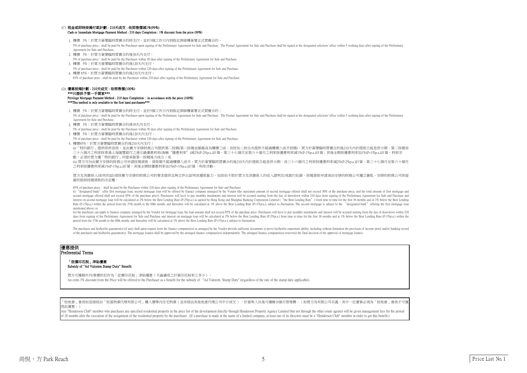#### 優惠提供 Preferential Terms

- 1. 樓價 5%:於買方簽署臨時買賣合約時支付,並於5個工作日內到指定律師樓簽署正式買賣合約。 5% of purchase price : shall be paid by the Purchaser upon signing of the Preliminary Agreement for Sale and Purchase. The Formal Agreement for Sale and Purchase shall be signed at the designated solicitors' office within Agreement for Sale and Purchase.
- 2. 樓價 5%:於買方簽署臨時買賣合約後30天內支付。
- 5% of purchase price : shall be paid by the Purchaser within 30 days after signing of the Preliminary Agreement for Sale and Purchase.
- 3. 樓價 5%:於買方簽署臨時買賣合約後120天內支付。
- 5% of purchase price : shall be paid by the Purchaser within 120 days after signing of the Preliminary Agreement for Sale and Purchase.
- 4. 樓價85%:於買方簽署臨時買賣合約後210天內支付;

(i)「特約銀行」提供即供首按;並由賣方安排財務公司提供第二按揭(第二按揭金額最高為樓價三成,首按加二按合共提供不超過樓價八成半按揭),買方於簽署臨時買賣合約後210天內於提款日起息供分期,第二按揭首 三十六個月之利率按香港上海匯豐銀行之港元最優惠利率(後稱"優惠利率")減2%(P-2%p.a.)計算,第三十七個月至第六十個月之利率按優惠利率減1%(P-1%p.a.)計算;其後全期按優惠利率加1%(P+1%p.a.)計算,利率浮 動,必須於買方獲「特約銀行」同意承做第一按揭後方成立;或

(ii) 買方可向由賣方安排的財務公司申請按揭貸款,貸款額不超過樓價八成半,買方於簽署臨時買賣合約後210天內於提款日起息供分期,首三十六個月之利率按優惠利率減2%(P-2%p.a.)計算,第三十七個月至第六十個月 之利率按優惠利率减1%(P-1%p.a.)計算;其後全期按優惠利率加1%(P+1%p.a.)計算,利率浮動。

買方及其擔保人(如有的話)須按賣方安排的財務公司的要求提供足夠文件以証明其還款能力,包括但不限於買方及其擔保人的收入證明及/或銀行紀錄。按揭貸款申請須由安排的財務公司獨立審批。安排的財務公司保留 最終批核按揭貸款的決定權。

85% of purchase price : shall be paid by the Purchaser within 210 days after signing of the Preliminary Agreement for Sale and Purchase;

(i) "designated bank" offer first mortgage loan, second mortgage loan will be offered by finance company arranged by the Vendor (the maximum amount of second mortgage offered shall not exceed 30% of the purchase price, and second mortgage offered shall not exceed 85% of the purchase price). Purchasers will have to pay monthly instalments and interest will be accrued starting from the day of drawdown within 210 days from signing of the Prelim interest on second mortgage loan will be calculated at 2% below the Best Lending Rate (P-2%p.a.) as quoted by Hong Kong and Shanghai Banking Corporation Limited ("the Best Lending Rate") from time to time for the first 36 Rate (P-1%p.a.) within the period from the 37th month to the 60th month; and thereafter will be calculated at 1% above the Best Lending Rate (P+1%p.a.), subject to fluctuation. The second mortgage is subject to the "design mentioned above; or

(ii) the purchaser can apply to finance company arranged by the Vendor for mortgage loan, the loan amount shall not exceed 85% of the purchase price. Purchasers will have to pay monthly instalments and interest will be acc days from signing of the Preliminary Agreement for Sale and Purchase and interest on mortgage loan will be calculated at 2% below the Best Lending Rate (P-2%p.a.) from time to time for the first 36 months and at 1% below t period from the 37th month to the 60th month; and thereafter will be calculated at 1% above the Best Lending Rate (P+1%p.a.), subject to fluctuation.

The purchaser and his/her/its guarantor(s) (if any) shall upon request from the finance company(ies) as arranged by the Vendor provide sufficient documents to prove his/her/its repayment ability, including without limitati of the purchaser and his/her/its guarantor(s). The mortgage loan(s) shall be approved by the arranged finance company(ies) independently. The arranged finance company(ies) reserve(s) the final decision of the approval of m

買方可獲額外3%售價折扣作為「從價印花稅」津貼優惠(不論適用之計算印花稅率之多少)。 An extra 3% discount from the Price will be offered to the Purchaser as a benefit for the subsidy of "Ad Valorem Stamp Duty" (regardless of the rate of the stamp duty applicable).

·恒地會」會員如直接經由「恒基物業代理有限公司」購入價單内住宅物業(並非經由其他地產代理公司中介成交 ),於簽契入伙後可獲贈18個月管理費。(如買方為有限公司名義,其中一位董事必須為「恒地會」會員才可獲 得此優惠。)

Any "Henderson Club" member who purchases any specified residential property in the price list of the development directly through Henderson Property Agency Limited (but not through the other estate agents) will be given m of 18 months after the execution of the assignment of the residential property by the purchaser. (If a purchase is made in the name of a limited company, at least one of its directors must be a "Henderson Club" member in o

- 1. 樓價 5%:於買方簽署臨時買賣合約時支付,並於5個工作日內到指定律師樓簽署正式買賣合約。 5% of purchase price : shall be paid by the Purchaser upon signing of the Preliminary Agreement for Sale and Purchase. The Formal Agreement for Sale and Purchase shall be signed at the designated solicitors' office within Agreement for Sale and Purchase.
- 2. 樓價 5%:於買方簽署臨時買賣合約後30天內支付。 5% of purchase price : shall be paid by the Purchaser within 30 days after signing of the Preliminary Agreement for Sale and Purchase.
- 3. 樓價 5%:於買方簽署臨時買賣合約後120天內支付。 5% of purchase price : shall be paid by the Purchaser within 120 days after signing of the Preliminary Agreement for Sale and Purchase.
- 4. 樓價 85%:於買方簽署臨時買賣合約後210天內支付。 85% of purchase price : shall be paid by the Purchaser within 210 days after signing of the Preliminary Agreement for Sale and Purchase.

Privilege Mortgage Payment Method - 210 days Completion : in accordance with the price (100%) \*\*\*This method is only available to the first hand purchasers\*\*\*

#### (D) 優惠按揭計劃 - 210天成交 : 依照售價(100%) \*\*\*只提供予第一手買家\*\*\*

#### (C) 現金或即時按揭付款計劃 - 210天成交 : 依照售價減1%(99%)

#### 「從價印花稅」津貼優惠 Subsidy of "Ad Valorem Stamp Duty" Benefit

#### Cash or Immediate Mortgage Payment Method - 210 days Completion : 1% discount from the price (99%)



Price List No.